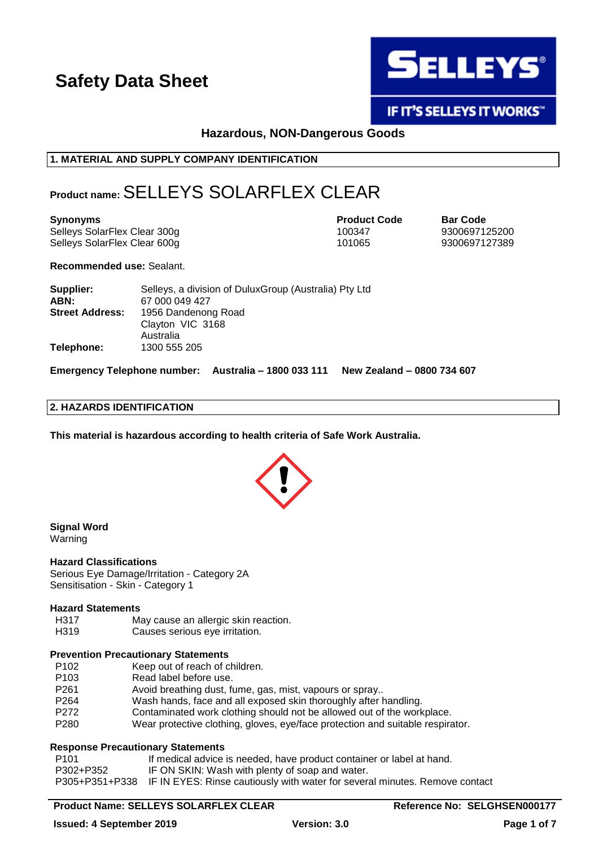

# **IF IT'S SELLEYS IT WORKS"**

**Hazardous, NON-Dangerous Goods**

# **1. MATERIAL AND SUPPLY COMPANY IDENTIFICATION**

# **Product name:**SELLEYS SOLARFLEX CLEAR

**Synonyms Product Code Bar Code** Selleys SolarFlex Clear 300g 100347 9300697125200 Selleys SolarFlex Clear 600g 101065 101065 9300697127389

**Recommended use:** Sealant.

| Supplier:              | Selleys, a division of Dulux Group (Australia) Pty Ltd |
|------------------------|--------------------------------------------------------|
| ABN:                   | 67 000 049 427                                         |
| <b>Street Address:</b> | 1956 Dandenong Road                                    |
|                        | Clayton VIC 3168                                       |
|                        | Australia                                              |
| Telephone:             | 1300 555 205                                           |

**Emergency Telephone number: Australia – 1800 033 111 New Zealand – 0800 734 607**

### **2. HAZARDS IDENTIFICATION**

**This material is hazardous according to health criteria of Safe Work Australia.**



#### **Signal Word** Warning

### **Hazard Classifications**

Serious Eye Damage/Irritation - Category 2A Sensitisation - Skin - Category 1

### **Hazard Statements**

- H317 May cause an allergic skin reaction.
- H319 Causes serious eye irritation.

# **Prevention Precautionary Statements**

- P102 Keep out of reach of children.
- P103 Read label before use.
- P261 Avoid breathing dust, fume, gas, mist, vapours or spray..
- P264 Wash hands, face and all exposed skin thoroughly after handling.
- P272 Contaminated work clothing should not be allowed out of the workplace.
- P280 Wear protective clothing, gloves, eye/face protection and suitable respirator.

# **Response Precautionary Statements**

P101 **If medical advice is needed, have product container or label at hand.** P302+P352 IF ON SKIN: Wash with plenty of soap and water. P305+P351+P338 IF IN EYES: Rinse cautiously with water for several minutes. Remove contact

# **Product Name: SELLEYS SOLARFLEX CLEAR Reference No: SELGHSEN000177**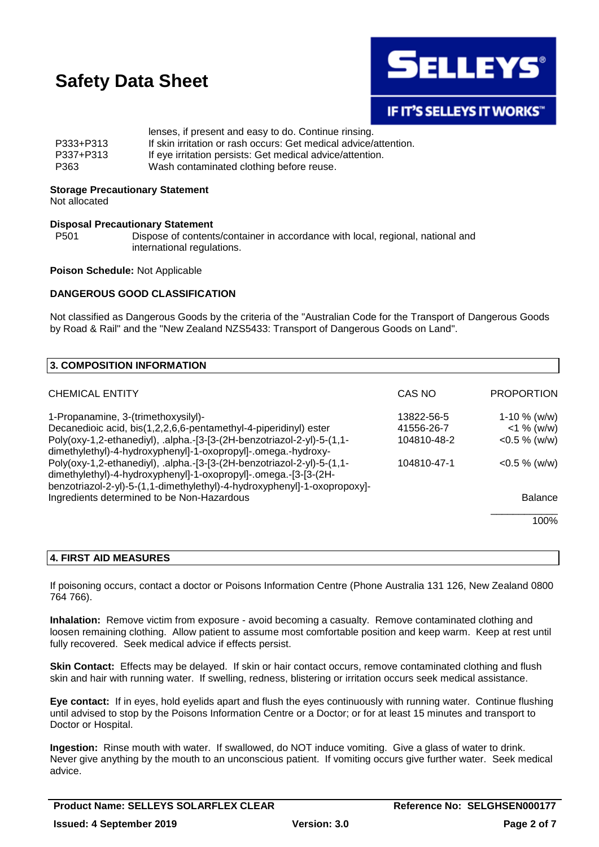

# **IF IT'S SELLEYS IT WORKS"**

|           | lenses, if present and easy to do. Continue rinsing.             |
|-----------|------------------------------------------------------------------|
| P333+P313 | If skin irritation or rash occurs: Get medical advice/attention. |
| P337+P313 | If eye irritation persists: Get medical advice/attention.        |
| P363      | Wash contaminated clothing before reuse.                         |

### **Storage Precautionary Statement**

Not allocated

### **Disposal Precautionary Statement**

P501 Dispose of contents/container in accordance with local, regional, national and international regulations.

### **Poison Schedule:** Not Applicable

### **DANGEROUS GOOD CLASSIFICATION**

Not classified as Dangerous Goods by the criteria of the "Australian Code for the Transport of Dangerous Goods by Road & Rail" and the "New Zealand NZS5433: Transport of Dangerous Goods on Land".

| 3. COMPOSITION INFORMATION                                                                                                                                                                                            |             |                   |
|-----------------------------------------------------------------------------------------------------------------------------------------------------------------------------------------------------------------------|-------------|-------------------|
| <b>CHEMICAL ENTITY</b>                                                                                                                                                                                                | CAS NO      | <b>PROPORTION</b> |
| 1-Propanamine, 3-(trimethoxysilyl)-                                                                                                                                                                                   | 13822-56-5  | 1-10 $%$ (w/w)    |
| Decanedioic acid, bis(1,2,2,6,6-pentamethyl-4-piperidinyl) ester                                                                                                                                                      | 41556-26-7  | $<$ 1 % (w/w)     |
| Poly(oxy-1,2-ethanediyl), .alpha.-[3-[3-(2H-benzotriazol-2-yl)-5-(1,1-<br>dimethylethyl)-4-hydroxyphenyl]-1-oxopropyl]-.omega.-hydroxy-                                                                               | 104810-48-2 | $<$ 0.5 % (w/w)   |
| Poly(oxy-1,2-ethanediyl), .alpha.-[3-[3-(2H-benzotriazol-2-yl)-5-(1,1-<br>dimethylethyl)-4-hydroxyphenyl]-1-oxopropyl]-.omega.-[3-[3-(2H-<br>benzotriazol-2-yl)-5-(1,1-dimethylethyl)-4-hydroxyphenyl]-1-oxopropoxy]- | 104810-47-1 | $<$ 0.5 % (w/w)   |
| Ingredients determined to be Non-Hazardous                                                                                                                                                                            |             | <b>Balance</b>    |
|                                                                                                                                                                                                                       |             | 100%              |

# **4. FIRST AID MEASURES**

If poisoning occurs, contact a doctor or Poisons Information Centre (Phone Australia 131 126, New Zealand 0800 764 766).

**Inhalation:** Remove victim from exposure - avoid becoming a casualty. Remove contaminated clothing and loosen remaining clothing. Allow patient to assume most comfortable position and keep warm. Keep at rest until fully recovered. Seek medical advice if effects persist.

**Skin Contact:** Effects may be delayed. If skin or hair contact occurs, remove contaminated clothing and flush skin and hair with running water. If swelling, redness, blistering or irritation occurs seek medical assistance.

**Eye contact:** If in eyes, hold eyelids apart and flush the eyes continuously with running water. Continue flushing until advised to stop by the Poisons Information Centre or a Doctor; or for at least 15 minutes and transport to Doctor or Hospital.

**Ingestion:** Rinse mouth with water. If swallowed, do NOT induce vomiting. Give a glass of water to drink. Never give anything by the mouth to an unconscious patient. If vomiting occurs give further water. Seek medical advice.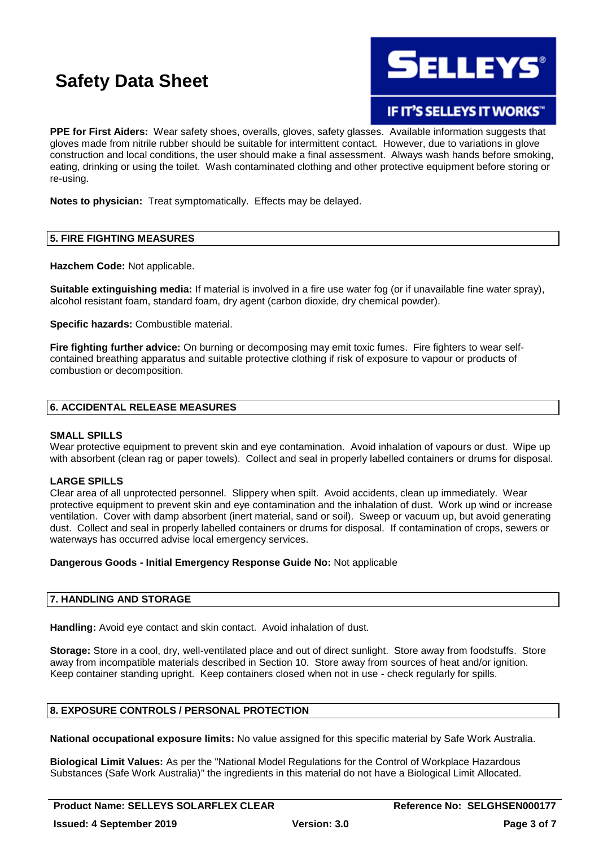

IF IT'S SELLEYS IT WORKS"

**PPE for First Aiders:** Wear safety shoes, overalls, gloves, safety glasses. Available information suggests that gloves made from nitrile rubber should be suitable for intermittent contact. However, due to variations in glove construction and local conditions, the user should make a final assessment. Always wash hands before smoking, eating, drinking or using the toilet. Wash contaminated clothing and other protective equipment before storing or re-using.

**Notes to physician:** Treat symptomatically. Effects may be delayed.

# **5. FIRE FIGHTING MEASURES**

**Hazchem Code:** Not applicable.

**Suitable extinguishing media:** If material is involved in a fire use water fog (or if unavailable fine water spray), alcohol resistant foam, standard foam, dry agent (carbon dioxide, dry chemical powder).

**Specific hazards:** Combustible material.

**Fire fighting further advice:** On burning or decomposing may emit toxic fumes. Fire fighters to wear selfcontained breathing apparatus and suitable protective clothing if risk of exposure to vapour or products of combustion or decomposition.

# **6. ACCIDENTAL RELEASE MEASURES**

### **SMALL SPILLS**

Wear protective equipment to prevent skin and eve contamination. Avoid inhalation of vapours or dust. Wipe up with absorbent (clean rag or paper towels). Collect and seal in properly labelled containers or drums for disposal.

### **LARGE SPILLS**

Clear area of all unprotected personnel. Slippery when spilt. Avoid accidents, clean up immediately. Wear protective equipment to prevent skin and eye contamination and the inhalation of dust. Work up wind or increase ventilation. Cover with damp absorbent (inert material, sand or soil). Sweep or vacuum up, but avoid generating dust. Collect and seal in properly labelled containers or drums for disposal. If contamination of crops, sewers or waterways has occurred advise local emergency services.

### **Dangerous Goods - Initial Emergency Response Guide No:** Not applicable

# **7. HANDLING AND STORAGE**

**Handling:** Avoid eye contact and skin contact. Avoid inhalation of dust.

**Storage:** Store in a cool, dry, well-ventilated place and out of direct sunlight. Store away from foodstuffs. Store away from incompatible materials described in Section 10. Store away from sources of heat and/or ignition. Keep container standing upright. Keep containers closed when not in use - check regularly for spills.

# **8. EXPOSURE CONTROLS / PERSONAL PROTECTION**

**National occupational exposure limits:** No value assigned for this specific material by Safe Work Australia.

**Biological Limit Values:** As per the "National Model Regulations for the Control of Workplace Hazardous Substances (Safe Work Australia)" the ingredients in this material do not have a Biological Limit Allocated.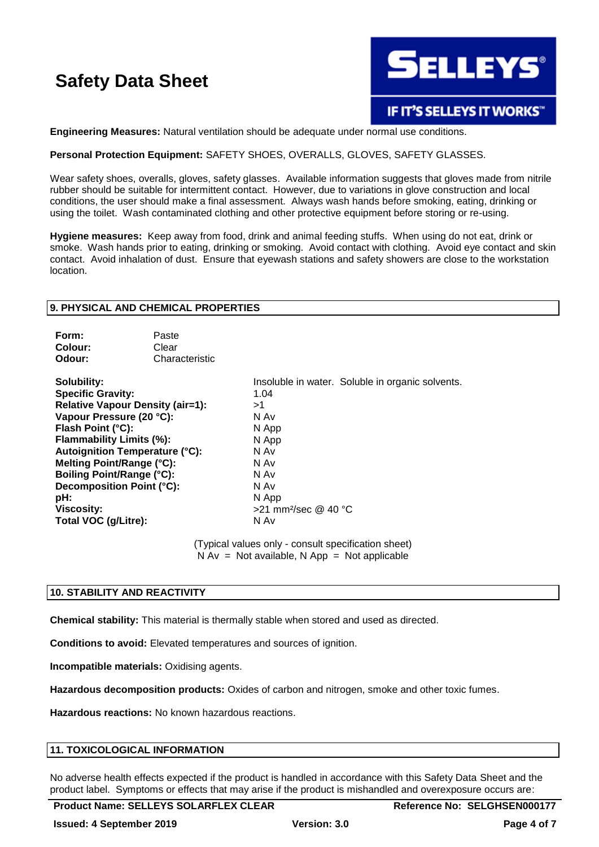

### **Engineering Measures:** Natural ventilation should be adequate under normal use conditions.

### **Personal Protection Equipment:** SAFETY SHOES, OVERALLS, GLOVES, SAFETY GLASSES.

Wear safety shoes, overalls, gloves, safety glasses. Available information suggests that gloves made from nitrile rubber should be suitable for intermittent contact. However, due to variations in glove construction and local conditions, the user should make a final assessment. Always wash hands before smoking, eating, drinking or using the toilet. Wash contaminated clothing and other protective equipment before storing or re-using.

**Hygiene measures:** Keep away from food, drink and animal feeding stuffs. When using do not eat, drink or smoke. Wash hands prior to eating, drinking or smoking. Avoid contact with clothing. Avoid eye contact and skin contact. Avoid inhalation of dust. Ensure that eyewash stations and safety showers are close to the workstation location.

### **9. PHYSICAL AND CHEMICAL PROPERTIES**

| Form:   | Paste          |
|---------|----------------|
| Colour: | Clear          |
| Odour:  | Characteristic |

**Specific Gravity:** 1.04 **Relative Vapour Density (air=1):**  $>1$ <br>**Vapour Pressure (20 °C):** N Av **Vapour Pressure (20 °C): Flash Point (°C):** N App **Flammability Limits (%):** N App **Autoignition Temperature (°C):** N Av **Melting Point/Range (°C):** N Av **Boiling Point/Range (°C):** N Av **Decomposition Point (°C):** N Av **pH:** N App **Viscosity:**  $>21$  mm<sup>2</sup>/sec @ 40 °C **Total VOC (g/Litre):** N Av

**Solubility:** Insoluble in water. Soluble in organic solvents.

(Typical values only - consult specification sheet)  $N Av = Not available, N App = Not applicable$ 

### **10. STABILITY AND REACTIVITY**

**Chemical stability:** This material is thermally stable when stored and used as directed.

**Conditions to avoid:** Elevated temperatures and sources of ignition.

**Incompatible materials:** Oxidising agents.

**Hazardous decomposition products:** Oxides of carbon and nitrogen, smoke and other toxic fumes.

**Hazardous reactions:** No known hazardous reactions.

### **11. TOXICOLOGICAL INFORMATION**

No adverse health effects expected if the product is handled in accordance with this Safety Data Sheet and the product label. Symptoms or effects that may arise if the product is mishandled and overexposure occurs are: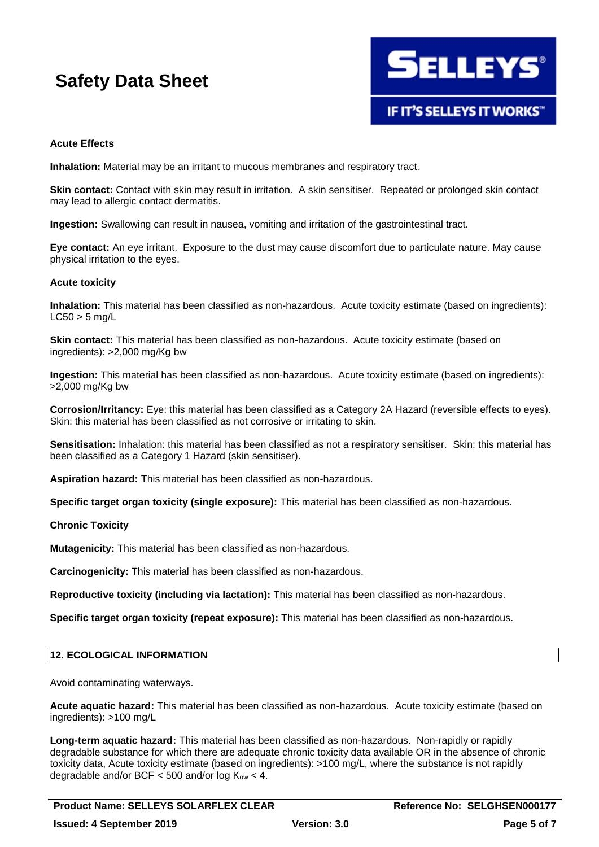

## **Acute Effects**

**Inhalation:** Material may be an irritant to mucous membranes and respiratory tract.

**Skin contact:** Contact with skin may result in irritation. A skin sensitiser. Repeated or prolonged skin contact may lead to allergic contact dermatitis.

**Ingestion:** Swallowing can result in nausea, vomiting and irritation of the gastrointestinal tract.

**Eye contact:** An eye irritant. Exposure to the dust may cause discomfort due to particulate nature. May cause physical irritation to the eyes.

### **Acute toxicity**

**Inhalation:** This material has been classified as non-hazardous. Acute toxicity estimate (based on ingredients):  $LC50 > 5$  mg/L

**Skin contact:** This material has been classified as non-hazardous. Acute toxicity estimate (based on ingredients): >2,000 mg/Kg bw

**Ingestion:** This material has been classified as non-hazardous. Acute toxicity estimate (based on ingredients): >2,000 mg/Kg bw

**Corrosion/Irritancy:** Eye: this material has been classified as a Category 2A Hazard (reversible effects to eyes). Skin: this material has been classified as not corrosive or irritating to skin.

**Sensitisation:** Inhalation: this material has been classified as not a respiratory sensitiser. Skin: this material has been classified as a Category 1 Hazard (skin sensitiser).

**Aspiration hazard:** This material has been classified as non-hazardous.

**Specific target organ toxicity (single exposure):** This material has been classified as non-hazardous.

### **Chronic Toxicity**

**Mutagenicity:** This material has been classified as non-hazardous.

**Carcinogenicity:** This material has been classified as non-hazardous.

**Reproductive toxicity (including via lactation):** This material has been classified as non-hazardous.

**Specific target organ toxicity (repeat exposure):** This material has been classified as non-hazardous.

# **12. ECOLOGICAL INFORMATION**

Avoid contaminating waterways.

**Acute aquatic hazard:** This material has been classified as non-hazardous. Acute toxicity estimate (based on ingredients): >100 mg/L

**Long-term aquatic hazard:** This material has been classified as non-hazardous. Non-rapidly or rapidly degradable substance for which there are adequate chronic toxicity data available OR in the absence of chronic toxicity data, Acute toxicity estimate (based on ingredients): >100 mg/L, where the substance is not rapidly degradable and/or BCF < 500 and/or  $log K<sub>ow</sub>$  < 4.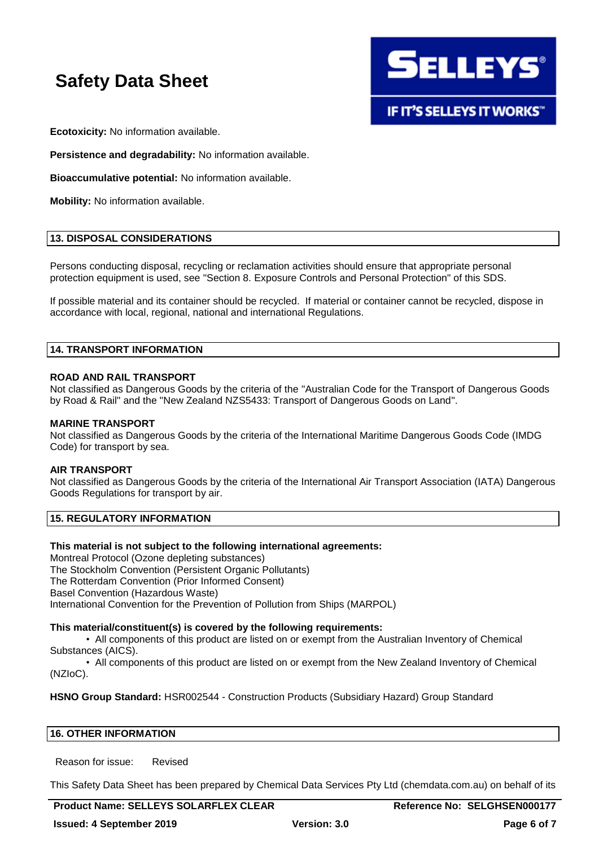

**Ecotoxicity:** No information available.

**Persistence and degradability:** No information available.

**Bioaccumulative potential:** No information available.

**Mobility:** No information available.

### **13. DISPOSAL CONSIDERATIONS**

Persons conducting disposal, recycling or reclamation activities should ensure that appropriate personal protection equipment is used, see "Section 8. Exposure Controls and Personal Protection" of this SDS.

If possible material and its container should be recycled. If material or container cannot be recycled, dispose in accordance with local, regional, national and international Regulations.

### **14. TRANSPORT INFORMATION**

### **ROAD AND RAIL TRANSPORT**

Not classified as Dangerous Goods by the criteria of the "Australian Code for the Transport of Dangerous Goods by Road & Rail" and the "New Zealand NZS5433: Transport of Dangerous Goods on Land".

#### **MARINE TRANSPORT**

Not classified as Dangerous Goods by the criteria of the International Maritime Dangerous Goods Code (IMDG Code) for transport by sea.

### **AIR TRANSPORT**

Not classified as Dangerous Goods by the criteria of the International Air Transport Association (IATA) Dangerous Goods Regulations for transport by air.

# **15. REGULATORY INFORMATION**

### **This material is not subject to the following international agreements:**

Montreal Protocol (Ozone depleting substances) The Stockholm Convention (Persistent Organic Pollutants) The Rotterdam Convention (Prior Informed Consent) Basel Convention (Hazardous Waste) International Convention for the Prevention of Pollution from Ships (MARPOL)

### **This material/constituent(s) is covered by the following requirements:**

• All components of this product are listed on or exempt from the Australian Inventory of Chemical Substances (AICS).

• All components of this product are listed on or exempt from the New Zealand Inventory of Chemical (NZIoC).

**HSNO Group Standard:** HSR002544 - Construction Products (Subsidiary Hazard) Group Standard

### **16. OTHER INFORMATION**

Reason for issue: Revised

This Safety Data Sheet has been prepared by Chemical Data Services Pty Ltd (chemdata.com.au) on behalf of its

# **Product Name: SELLEYS SOLARFLEX CLEAR Reference No: SELGHSEN000177**